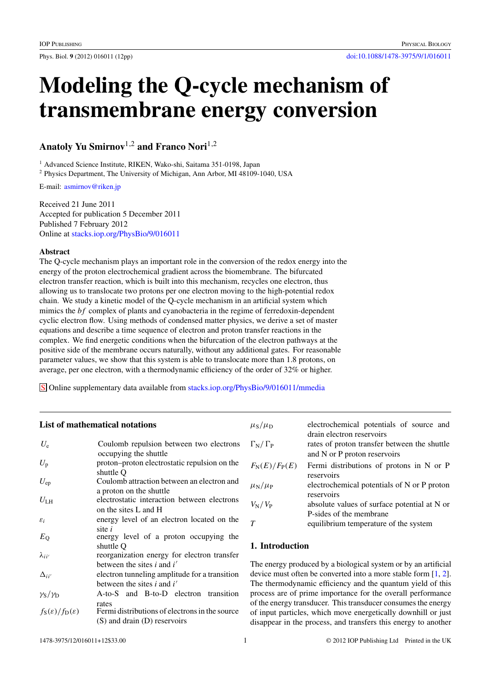# **Modeling the Q-cycle mechanism of transmembrane energy conversion**

**Anatoly Yu Smirnov**1,2 **and Franco Nori**1,2

<sup>1</sup> Advanced Science Institute, RIKEN, Wako-shi, Saitama 351-0198, Japan

<sup>2</sup> Physics Department, The University of Michigan, Ann Arbor, MI 48109-1040, USA

E-mail: [asmirnov@riken.jp](mailto:asmirnov@riken.jp)

Received 21 June 2011 Accepted for publication 5 December 2011 Published 7 February 2012 Online at [stacks.iop.org/PhysBio/9/016011](http://stacks.iop.org/PhysBio/9/016011)

# **Abstract**

The Q-cycle mechanism plays an important role in the conversion of the redox energy into the energy of the proton electrochemical gradient across the biomembrane. The bifurcated electron transfer reaction, which is built into this mechanism, recycles one electron, thus allowing us to translocate two protons per one electron moving to the high-potential redox chain. We study a kinetic model of the Q-cycle mechanism in an artificial system which mimics the *bf* complex of plants and cyanobacteria in the regime of ferredoxin-dependent cyclic electron flow. Using methods of condensed matter physics, we derive a set of master equations and describe a time sequence of electron and proton transfer reactions in the complex. We find energetic conditions when the bifurcation of the electron pathways at the positive side of the membrane occurs naturally, without any additional gates. For reasonable parameter values, we show that this system is able to translocate more than 1.8 protons, on average, per one electron, with a thermodynamic efficiency of the order of 32% or higher.

S Online supplementary data available from [stacks.iop.org/PhysBio/9/016011/mmedia](http://stacks.iop.org/PhysBio/9/016011/mmedia)

# **List of mathematical notations**

| $U_{\rm e}$                                     | Coulomb repulsion between two electrons        |
|-------------------------------------------------|------------------------------------------------|
|                                                 | occupying the shuttle                          |
| $U_{\rm p}$                                     | proton-proton electrostatic repulsion on the   |
|                                                 |                                                |
|                                                 | shuttle O                                      |
| $U_{ep}$                                        | Coulomb attraction between an electron and     |
|                                                 | a proton on the shuttle                        |
| $U_{\rm LH}$                                    | electrostatic interaction between electrons    |
|                                                 | on the sites L and H                           |
| $\varepsilon_i$                                 | energy level of an electron located on the     |
|                                                 | site $i$                                       |
| $E_{\rm Q}$                                     | energy level of a proton occupying the         |
|                                                 | shuttle O                                      |
| $\lambda_{ii'}$                                 | reorganization energy for electron transfer    |
|                                                 | between the sites $i$ and $i'$                 |
| $\Delta_{ii'}$                                  | electron tunneling amplitude for a transition  |
|                                                 |                                                |
|                                                 | between the sites i and $i'$                   |
| $\gamma_{\rm S}/\gamma_{\rm D}$                 | A-to-S and B-to-D electron transition          |
|                                                 | rates                                          |
| $f_{\rm S}(\varepsilon)/f_{\rm D}(\varepsilon)$ | Fermi distributions of electrons in the source |
|                                                 |                                                |
|                                                 | (S) and drain (D) reservoirs                   |

| $\mu_{\rm S}/\mu_{\rm D}$       | electrochemical potentials of source and                                                                  |
|---------------------------------|-----------------------------------------------------------------------------------------------------------|
| $\Gamma_{\rm N}/\Gamma_{\rm P}$ | drain electron reservoirs<br>rates of proton transfer between the shuttle<br>and N or P proton reservoirs |
| $F_{\rm N}(E)/F_{\rm P}(E)$     | Fermi distributions of protons in N or P<br>reservoirs                                                    |
| $\mu_{\rm N}/\mu_{\rm P}$       | electrochemical potentials of N or P proton<br>reservoirs                                                 |
| $V_{\rm N}/V_{\rm P}$           | absolute values of surface potential at N or                                                              |
| т                               | P-sides of the membrane<br>equilibrium temperature of the system                                          |

# **1. Introduction**

The energy produced by a biological system or by an artificial device must often be converted into a more stable form [\[1,](#page-11-0) [2](#page-11-0)]. The thermodynamic efficiency and the quantum yield of this process are of prime importance for the overall performance of the energy transducer. This transducer consumes the energy of input particles, which move energetically downhill or just disappear in the process, and transfers this energy to another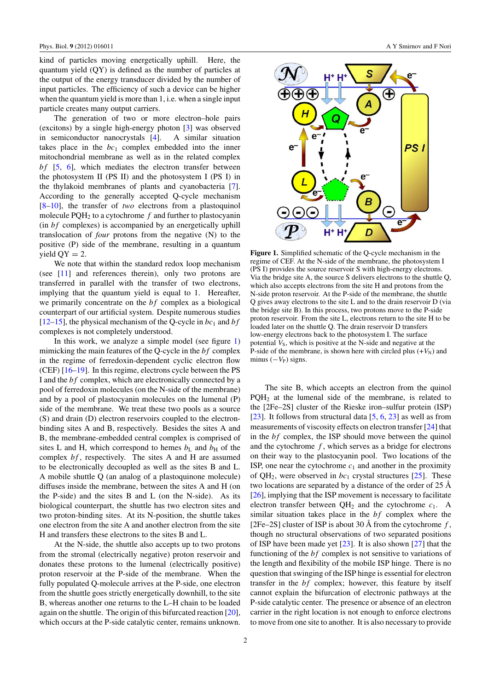<span id="page-1-0"></span>kind of particles moving energetically uphill. Here, the quantum yield (QY) is defined as the number of particles at the output of the energy transducer divided by the number of input particles. The efficiency of such a device can be higher when the quantum yield is more than 1, i.e. when a single input particle creates many output carriers.

The generation of two or more electron–hole pairs (excitons) by a single high-energy photon [\[3](#page-11-0)] was observed in semiconductor nanocrystals [\[4](#page-11-0)]. A similar situation takes place in the  $bc_1$  complex embedded into the inner mitochondrial membrane as well as in the related complex *bf* [\[5,](#page-11-0) [6](#page-11-0)], which mediates the electron transfer between the photosystem II (PS II) and the photosystem I (PS I) in the thylakoid membranes of plants and cyanobacteria [\[7](#page-11-0)]. According to the generally accepted Q-cycle mechanism [\[8–10](#page-11-0)], the transfer of *two* electrons from a plastoquinol molecule  $PQH_2$  to a cytochrome  $f$  and further to plastocyanin (in *bf* complexes) is accompanied by an energetically uphill translocation of *four* protons from the negative (N) to the positive (P) side of the membrane, resulting in a quantum yield  $QY = 2$ .

We note that within the standard redox loop mechanism (see [\[11](#page-11-0)] and references therein), only two protons are transferred in parallel with the transfer of two electrons, implying that the quantum yield is equal to 1. Hereafter, we primarily concentrate on the *bf* complex as a biological counterpart of our artificial system. Despite numerous studies  $[12–15]$  $[12–15]$ , the physical mechanism of the Q-cycle in  $bc_1$  and  $bf$ complexes is not completely understood.

In this work, we analyze a simple model (see figure 1) mimicking the main features of the Q-cycle in the *bf* complex in the regime of ferredoxin-dependent cyclic electron flow (CEF) [\[16–19](#page-11-0)]. In this regime, electrons cycle between the PS I and the *bf* complex, which are electronically connected by a pool of ferredoxin molecules (on the N-side of the membrane) and by a pool of plastocyanin molecules on the lumenal (P) side of the membrane. We treat these two pools as a source (S) and drain (D) electron reservoirs coupled to the electronbinding sites A and B, respectively. Besides the sites A and B, the membrane-embedded central complex is comprised of sites L and H, which correspond to hemes  $b<sub>L</sub>$  and  $b<sub>H</sub>$  of the complex *bf* , respectively. The sites A and H are assumed to be electronically decoupled as well as the sites B and L. A mobile shuttle Q (an analog of a plastoquinone molecule) diffuses inside the membrane, between the sites A and H (on the P-side) and the sites B and L (on the N-side). As its biological counterpart, the shuttle has two electron sites and two proton-binding sites. At its N-position, the shuttle takes one electron from the site A and another electron from the site H and transfers these electrons to the sites B and L.

At the N-side, the shuttle also accepts up to two protons from the stromal (electrically negative) proton reservoir and donates these protons to the lumenal (electrically positive) proton reservoir at the P-side of the membrane. When the fully populated Q-molecule arrives at the P-side, one electron from the shuttle goes strictly energetically downhill, to the site B, whereas another one returns to the L–H chain to be loaded again on the shuttle. The origin of this bifurcated reaction [\[20](#page-11-0)], which occurs at the P-side catalytic center, remains unknown.



**Figure 1.** Simplified schematic of the Q-cycle mechanism in the regime of CEF. At the N-side of the membrane, the photosystem I (PS I) provides the source reservoir S with high-energy electrons. Via the bridge site A, the source S delivers electrons to the shuttle Q, which also accepts electrons from the site H and protons from the N-side proton reservoir. At the P-side of the membrane, the shuttle Q gives away electrons to the site L and to the drain reservoir D (via the bridge site B). In this process, two protons move to the P-side proton reservoir. From the site L, electrons return to the site H to be loaded later on the shuttle Q. The drain reservoir D transfers low-energy electrons back to the photosystem I. The surface potential  $V<sub>S</sub>$ , which is positive at the N-side and negative at the P-side of the membrane, is shown here with circled plus  $(+V_N)$  and minus  $(-V_P)$  signs.

The site B, which accepts an electron from the quinol PQH2 at the lumenal side of the membrane, is related to the [2Fe–2S] cluster of the Rieske iron–sulfur protein (ISP) [\[23](#page-11-0)]. It follows from structural data  $[5, 6, 23]$  $[5, 6, 23]$  $[5, 6, 23]$  $[5, 6, 23]$  $[5, 6, 23]$  as well as from measurements of viscosity effects on electron transfer [\[24](#page-11-0)] that in the *bf* complex, the ISP should move between the quinol and the cytochrome *f* , which serves as a bridge for electrons on their way to the plastocyanin pool. Two locations of the ISP, one near the cytochrome  $c_1$  and another in the proximity of  $QH_2$ , were observed in  $bc_1$  crystal structures [\[25\]](#page-11-0). These two locations are separated by a distance of the order of  $25 \text{ Å}$ [\[26](#page-11-0)], implying that the ISP movement is necessary to facilitate electron transfer between  $QH_2$  and the cytochrome  $c_1$ . A similar situation takes place in the *bf* complex where the [2Fe–2S] cluster of ISP is about 30 Å from the cytochrome  $f$ , though no structural observations of two separated positions of ISP have been made yet  $[23]$  $[23]$ . It is also shown  $[27]$  that the functioning of the *bf* complex is not sensitive to variations of the length and flexibility of the mobile ISP hinge. There is no question that swinging of the ISP hinge is essential for electron transfer in the *bf* complex; however, this feature by itself cannot explain the bifurcation of electronic pathways at the P-side catalytic center. The presence or absence of an electron carrier in the right location is not enough to enforce electrons to move from one site to another. It is also necessary to provide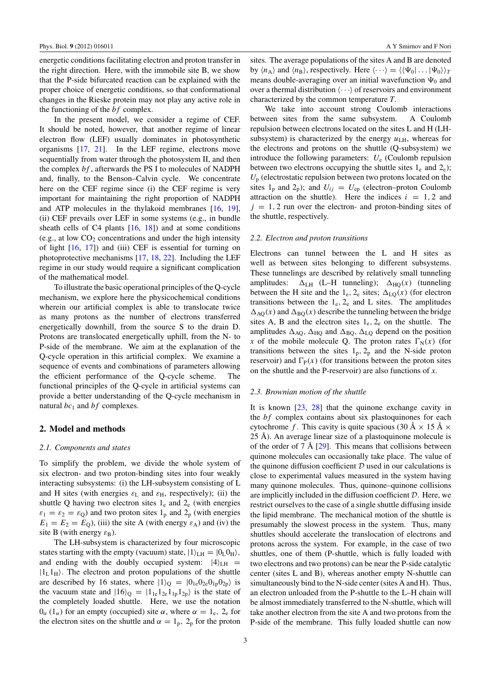<span id="page-2-0"></span>energetic conditions facilitating electron and proton transfer in the right direction. Here, with the immobile site B, we show that the P-side bifurcated reaction can be explained with the proper choice of energetic conditions, so that conformational changes in the Rieske protein may not play any active role in the functioning of the *bf* complex.

In the present model, we consider a regime of CEF. It should be noted, however, that another regime of linear electron flow (LEF) usually dominates in photosynthetic organisms [\[17](#page-11-0), [21](#page-11-0)]. In the LEF regime, electrons move sequentially from water through the photosystem II, and then the complex *bf* , afterwards the PS I to molecules of NADPH and, finally, to the Benson–Calvin cycle. We concentrate here on the CEF regime since (i) the CEF regime is very important for maintaining the right proportion of NADPH and ATP molecules in the thylakoid membranes [\[16,](#page-11-0) [19](#page-11-0)], (ii) CEF prevails over LEF in some systems (e.g., in bundle sheath cells of C4 plants  $[16, 18]$  $[16, 18]$  $[16, 18]$  $[16, 18]$  and at some conditions (e.g., at low  $CO<sub>2</sub>$  concentrations and under the high intensity of light [\[16](#page-11-0), [17\]](#page-11-0)) and (iii) CEF is essential for turning on photoprotective mechanisms [\[17](#page-11-0), [18,](#page-11-0) [22](#page-11-0)]. Including the LEF regime in our study would require a significant complication of the mathematical model.

To illustrate the basic operational principles of the Q-cycle mechanism, we explore here the physicochemical conditions wherein our artificial complex is able to translocate twice as many protons as the number of electrons transferred energetically downhill, from the source S to the drain D. Protons are translocated energetically uphill, from the N- to P-side of the membrane. We aim at the explanation of the Q-cycle operation in this artificial complex. We examine a sequence of events and combinations of parameters allowing the efficient performance of the Q-cycle scheme. The functional principles of the Q-cycle in artificial systems can provide a better understanding of the Q-cycle mechanism in natural  $bc_1$  and  $bf$  complexes.

#### **2. Model and methods**

#### *2.1. Components and states*

To simplify the problem, we divide the whole system of six electron- and two proton-binding sites into four weakly interacting subsystems: (i) the LH-subsystem consisting of L and H sites (with energies  $\varepsilon_L$  and  $\varepsilon_H$ , respectively); (ii) the shuttle Q having two electron sites  $1_e$  and  $2_e$  (with energies  $\varepsilon_1 = \varepsilon_2 = \varepsilon_0$ ) and two proton sites 1<sub>p</sub> and 2<sub>p</sub> (with energies  $E_1 = E_2 = E_Q$ ), (iii) the site A (with energy  $\varepsilon_A$ ) and (iv) the site B (with energy  $\varepsilon_{\rm B}$ ).

The LH-subsystem is characterized by four microscopic states starting with the empty (vacuum) state,  $|1\rangle_{LH} = |0L_0|$ , and ending with the doubly occupied system:  $|4\rangle$ LH =  $|1_L1_H\rangle$ . The electron and proton populations of the shuttle are described by 16 states, where  $|1\rangle$ <sub>O</sub> =  $|0\rangle$ <sub>1e</sub> $0$ <sub>2e</sub> $0$ <sub>1p</sub> $0$ <sub>2p</sub> $\rangle$  is the vacuum state and  $|16\rangle$ <sub>Q</sub> =  $|1_{1e}1_{2e}1_{1p}1_{2p}\rangle$  is the state of the completely loaded shuttle. Here, we use the notation  $0<sub>α</sub>$  (1<sub>α</sub>) for an empty (occupied) site *α*, where *α* = 1<sub>e</sub>, 2<sub>e</sub> for the electron sites on the shuttle and  $\alpha = 1_p$ ,  $2_p$  for the proton

sites. The average populations of the sites A and B are denoted by  $\langle n_A \rangle$  and  $\langle n_B \rangle$ , respectively. Here  $\langle \cdots \rangle = \langle \langle \Psi_0 | \dots | \Psi_0 \rangle \rangle_T$ means double-averaging over an initial wavefunction  $\Psi_0$  and over a thermal distribution  $\langle \cdots \rangle$  of reservoirs and environment characterized by the common temperature *T*.

We take into account strong Coulomb interactions between sites from the same subsystem. A Coulomb repulsion between electrons located on the sites L and H (LHsubsystem) is characterized by the energy  $u<sub>LH</sub>$ , whereas for the electrons and protons on the shuttle (Q-subsystem) we introduce the following parameters:  $U_e$  (Coulomb repulsion between two electrons occupying the shuttle sites  $1_e$  and  $2_e$ );  $U_p$  (electrostatic repulsion between two protons located on the sites  $1_p$  and  $2_p$ ); and  $U_{ij} = U_{ep}$  (electron–proton Coulomb attraction on the shuttle). Here the indices  $i = 1, 2$  and  $j = 1, 2$  run over the electron- and proton-binding sites of the shuttle, respectively.

#### *2.2. Electron and proton transitions*

Electrons can tunnel between the L and H sites as well as between sites belonging to different subsystems. These tunnelings are described by relatively small tunneling amplitudes:  $\Delta_{LH}$  (L–H tunneling);  $\Delta_{HO}(x)$  (tunneling between the H site and the  $1_e$ ,  $2_e$  sites;  $\Delta_{LQ}(x)$  (for electron transitions between the  $1_e$ ,  $2_e$  and L sites. The amplitudes  $\Delta_{\text{AO}}(x)$  and  $\Delta_{\text{BO}}(x)$  describe the tunneling between the bridge sites A, B and the electron sites  $1<sub>e</sub>$ ,  $2<sub>e</sub>$  on the shuttle. The amplitudes  $\Delta_{AQ}$ ,  $\Delta_{HQ}$  and  $\Delta_{BQ}$ ,  $\Delta_{LQ}$  depend on the position *x* of the mobile molecule Q. The proton rates  $\Gamma_N(x)$  (for transitions between the sites  $1_p$ ,  $2_p$  and the N-side proton reservoir) and  $\Gamma_P(x)$  (for transitions between the proton sites on the shuttle and the P-reservoir) are also functions of *x*.

#### *2.3. Brownian motion of the shuttle*

It is known [\[23](#page-11-0), [28\]](#page-11-0) that the quinone exchange cavity in the *bf* complex contains about six plastoquinones for each cytochrome *f*. This cavity is quite spacious (30 Å  $\times$  15 Å  $\times$ 25 Å). An average linear size of a plastoquinone molecule is of the order of 7 Å  $[29]$  $[29]$  $[29]$ . This means that collisions between quinone molecules can occasionally take place. The value of the quinone diffusion coefficient  $D$  used in our calculations is close to experimental values measured in the system having many quinone molecules. Thus, quinone–quinone collisions are implicitly included in the diffusion coefficient D. Here, we restrict ourselves to the case of a single shuttle diffusing inside the lipid membrane. The mechanical motion of the shuttle is presumably the slowest process in the system. Thus, many shuttles should accelerate the translocation of electrons and protons across the system. For example, in the case of two shuttles, one of them (P-shuttle, which is fully loaded with two electrons and two protons) can be near the P-side catalytic center (sites L and B), whereas another empty N-shuttle can simultaneously bind to the N-side center (sites A and H). Thus, an electron unloaded from the P-shuttle to the L–H chain will be almost immediately transferred to the N-shuttle, which will take another electron from the site A and two protons from the P-side of the membrane. This fully loaded shuttle can now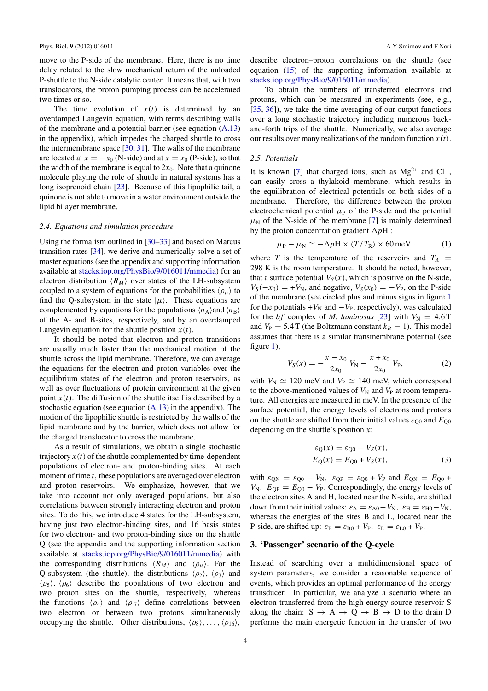<span id="page-3-0"></span>move to the P-side of the membrane. Here, there is no time delay related to the slow mechanical return of the unloaded P-shuttle to the N-side catalytic center. It means that, with two translocators, the proton pumping process can be accelerated two times or so.

The time evolution of  $x(t)$  is determined by an overdamped Langevin equation, with terms describing walls of the membrane and a potential barrier (see equation [\(A.13\)](#page-10-0) in the appendix), which impedes the charged shuttle to cross the intermembrane space [\[30](#page-11-0), [31\]](#page-11-0). The walls of the membrane are located at  $x = -x_0$  (N-side) and at  $x = x_0$  (P-side), so that the width of the membrane is equal to  $2x<sub>0</sub>$ . Note that a quinone molecule playing the role of shuttle in natural systems has a long isoprenoid chain [\[23](#page-11-0)]. Because of this lipophilic tail, a quinone is not able to move in a water environment outside the lipid bilayer membrane.

#### *2.4. Equations and simulation procedure*

Using the formalism outlined in [\[30–33](#page-11-0)] and based on Marcus transition rates [\[34](#page-11-0)], we derive and numerically solve a set of master equations (see the appendix and supporting information available at [stacks.iop.org/PhysBio/9/016011/mmedia\)](http://stacks.iop.org/PhysBio/9/016011/mmedia) for an electron distribution  $\langle R_M \rangle$  over states of the LH-subsystem coupled to a system of equations for the probabilities  $\langle \rho_\mu \rangle$  to find the Q-subsystem in the state  $|\mu\rangle$ . These equations are complemented by equations for the populations  $\langle n_A \rangle$  and  $\langle n_B \rangle$ of the A- and B-sites, respectively, and by an overdamped Langevin equation for the shuttle position  $x(t)$ .

It should be noted that electron and proton transitions are usually much faster than the mechanical motion of the shuttle across the lipid membrane. Therefore, we can average the equations for the electron and proton variables over the equilibrium states of the electron and proton reservoirs, as well as over fluctuations of protein environment at the given point  $x(t)$ . The diffusion of the shuttle itself is described by a stochastic equation (see equation  $(A.13)$  in the appendix). The motion of the lipophilic shuttle is restricted by the walls of the lipid membrane and by the barrier, which does not allow for the charged translocator to cross the membrane.

As a result of simulations, we obtain a single stochastic trajectory  $x(t)$  of the shuttle complemented by time-dependent populations of electron- and proton-binding sites. At each moment of time *t*, these populations are averaged over electron and proton reservoirs. We emphasize, however, that we take into account not only averaged populations, but also correlations between strongly interacting electron and proton sites. To do this, we introduce 4 states for the LH-subsystem, having just two electron-binding sites, and 16 basis states for two electron- and two proton-binding sites on the shuttle Q (see the appendix and the supporting information section available at [stacks.iop.org/PhysBio/9/016011/mmedia\)](http://stacks.iop.org/PhysBio/9/016011/mmedia) with the corresponding distributions  $\langle R_M \rangle$  and  $\langle \rho_\mu \rangle$ . For the Q-subsystem (the shuttle), the distributions  $\langle \rho_2 \rangle$ ,  $\langle \rho_3 \rangle$  and  $\langle \rho_5 \rangle$ ,  $\langle \rho_6 \rangle$  describe the populations of two electron and two proton sites on the shuttle, respectively, whereas the functions  $\langle \rho_4 \rangle$  and  $\langle \rho_7 \rangle$  define correlations between two electron or between two protons simultaneously occupying the shuttle. Other distributions,  $\langle \rho_8 \rangle, \ldots, \langle \rho_{16} \rangle$ , describe electron–proton correlations on the shuttle (see equation [\(15\)](#page-5-0) of the supporting information available at [stacks.iop.org/PhysBio/9/016011/mmedia\)](http://stacks.iop.org/PhysBio/9/016011/mmedia).

To obtain the numbers of transferred electrons and protons, which can be measured in experiments (see, e.g., [\[35](#page-11-0), [36\]](#page-11-0)), we take the time averaging of our output functions over a long stochastic trajectory including numerous backand-forth trips of the shuttle. Numerically, we also average our results over many realizations of the random function  $x(t)$ .

#### *2.5. Potentials*

It is known [\[7](#page-11-0)] that charged ions, such as  $Mg^{2+}$  and Cl<sup>-</sup>, can easily cross a thylakoid membrane, which results in the equilibration of electrical potentials on both sides of a membrane. Therefore, the difference between the proton electrochemical potential  $\mu$ <sup>p</sup> of the P-side and the potential  $\mu$ <sub>N</sub> of the N-side of the membrane [\[7](#page-11-0)] is mainly determined by the proton concentration gradient  $\Delta p$ H :

$$
\mu_{\rm P} - \mu_{\rm N} \simeq -\Delta p H \times (T/T_{\rm R}) \times 60 \,\text{meV},\tag{1}
$$

where *T* is the temperature of the reservoirs and  $T_R$  = 298 K is the room temperature. It should be noted, however, that a surface potential  $V_S(x)$ , which is positive on the N-side,  $V_S(-x_0) = +V_N$ , and negative,  $V_S(x_0) = -V_P$ , on the P-side of the membrane (see circled plus and minus signs in figure [1](#page-1-0) for the potentials  $+V_N$  and  $-V_P$ , respectively), was calculated for the *bf* complex of *M. laminosus* [\[23\]](#page-11-0) with  $V_N = 4.6$  T and  $V_P = 5.4$  T (the Boltzmann constant  $k_B = 1$ ). This model assumes that there is a similar transmembrane potential (see figure [1\)](#page-1-0),

$$
V_S(x) = -\frac{x - x_0}{2x_0} V_N - \frac{x + x_0}{2x_0} V_P,
$$
 (2)

with  $V_N \simeq 120$  meV and  $V_P \simeq 140$  meV, which correspond to the above-mentioned values of  $V_N$  and  $V_P$  at room temperature. All energies are measured in meV. In the presence of the surface potential, the energy levels of electrons and protons on the shuttle are shifted from their initial values  $\varepsilon_{\text{O}0}$  and  $E_{\text{O}0}$ depending on the shuttle's position *x*:

$$
\varepsilon_{Q}(x) = \varepsilon_{Q0} - V_{S}(x), E_{Q}(x) = E_{Q0} + V_{S}(x),
$$
 (3)

with  $\varepsilon_{\text{QN}} = \varepsilon_{\text{Q}0} - V_{\text{N}}$ ,  $\varepsilon_{\text{QP}} = \varepsilon_{\text{Q}0} + V_{\text{P}}$  and  $E_{\text{QN}} = E_{\text{Q}0} + V_{\text{P}}$  $V_N$ ,  $E_{OP} = E_{O0} - V_P$ . Correspondingly, the energy levels of the electron sites A and H, located near the N-side, are shifted down from their initial values:  $\varepsilon_A = \varepsilon_{A0} - V_N$ ,  $\varepsilon_H = \varepsilon_{H0} - V_N$ , whereas the energies of the sites B and L, located near the P-side, are shifted up:  $\varepsilon_B = \varepsilon_{B0} + V_P$ ,  $\varepsilon_L = \varepsilon_{L0} + V_P$ .

## **3. 'Passenger' scenario of the Q-cycle**

Instead of searching over a multidimensional space of system parameters, we consider a reasonable sequence of events, which provides an optimal performance of the energy transducer. In particular, we analyze a scenario where an electron transferred from the high-energy source reservoir S along the chain:  $S \rightarrow A \rightarrow Q \rightarrow B \rightarrow D$  to the drain D performs the main energetic function in the transfer of two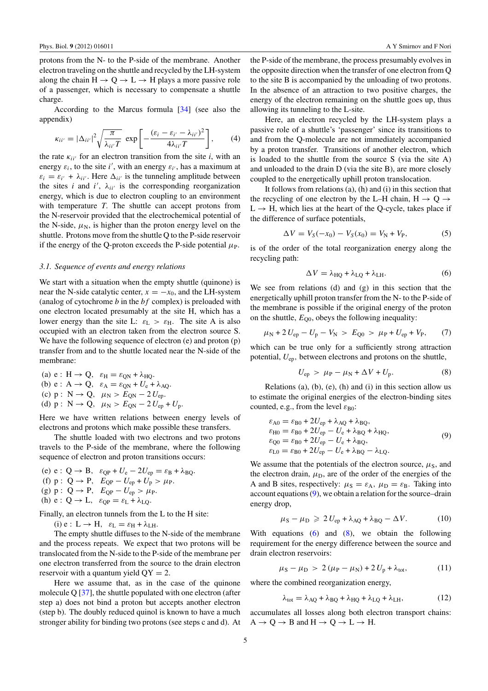<span id="page-4-0"></span>protons from the N- to the P-side of the membrane. Another electron traveling on the shuttle and recycled by the LH-system along the chain  $H \rightarrow Q \rightarrow L \rightarrow H$  plays a more passive role of a passenger, which is necessary to compensate a shuttle charge.

According to the Marcus formula [\[34\]](#page-11-0) (see also the appendix)

$$
\kappa_{ii'} = |\Delta_{ii'}|^2 \sqrt{\frac{\pi}{\lambda_{ii'}T}} \exp\left[-\frac{(\varepsilon_i - \varepsilon_{i'} - \lambda_{ii'})^2}{4\lambda_{ii'}T}\right],\qquad(4)
$$

the rate  $\kappa_{ii'}$  for an electron transition from the site *i*, with an energy  $\varepsilon_i$ , to the site *i'*, with an energy  $\varepsilon_{i'}$ , has a maximum at  $\varepsilon_i = \varepsilon_{i'} + \lambda_{ii'}$ . Here  $\Delta_{ii'}$  is the tunneling amplitude between the sites *i* and *i'*,  $\lambda_{ii'}$  is the corresponding reorganization energy, which is due to electron coupling to an environment with temperature *T*. The shuttle can accept protons from the N-reservoir provided that the electrochemical potential of the N-side,  $\mu_N$ , is higher than the proton energy level on the shuttle. Protons move from the shuttle Q to the P-side reservoir if the energy of the Q-proton exceeds the P-side potential  $\mu_{\rm P}$ .

#### *3.1. Sequence of events and energy relations*

We start with a situation when the empty shuttle (quinone) is near the N-side catalytic center,  $x = -x_0$ , and the LH-system (analog of cytochrome *b* in the *bf* complex) is preloaded with one electron located presumably at the site H, which has a lower energy than the site L:  $\varepsilon_L > \varepsilon_H$ . The site A is also occupied with an electron taken from the electron source S. We have the following sequence of electron (e) and proton (p) transfer from and to the shuttle located near the N-side of the membrane:

(a) 
$$
e: H \rightarrow Q
$$
,  $\varepsilon_H = \varepsilon_{QN} + \lambda_{HQ}$ .  
\n(b)  $e: A \rightarrow Q$ ,  $\varepsilon_A = \varepsilon_{QN} + U_e + \lambda_{AQ}$ .  
\n(c)  $p: N \rightarrow Q$ ,  $\mu_N > E_{QN} - 2U_{ep}$ .  
\n(d)  $p: N \rightarrow Q$ ,  $\mu_N > E_{QN} - 2U_{ep} + U_p$ .

Here we have written relations between energy levels of electrons and protons which make possible these transfers.

The shuttle loaded with two electrons and two protons travels to the P-side of the membrane, where the following sequence of electron and proton transitions occurs:

(e)  $e: Q \rightarrow B$ ,  $\varepsilon_{QP} + U_e - 2U_{ep} = \varepsilon_B + \lambda_{BQ}$ . (f)  $p: Q \to P$ ,  $E_{QP} - U_{ep} + U_p > \mu_P$ . (g)  $p: Q \rightarrow P$ ,  $E_{OP} - U_{ep} > \mu_P$ . (h)  $e: Q \rightarrow L$ ,  $\varepsilon_{OP} = \varepsilon_L + \lambda_{LO}$ .

Finally, an electron tunnels from the L to the H site:

(i)  $e: L \rightarrow H$ ,  $\varepsilon_L = \varepsilon_H + \lambda_{LH}$ .

The empty shuttle diffuses to the N-side of the membrane and the process repeats. We expect that two protons will be translocated from the N-side to the P-side of the membrane per one electron transferred from the source to the drain electron reservoir with a quantum yield QY = 2*.*

Here we assume that, as in the case of the quinone molecule  $Q$  [\[37](#page-11-0)], the shuttle populated with one electron (after step a) does not bind a proton but accepts another electron (step b). The doubly reduced quinol is known to have a much stronger ability for binding two protons (see steps c and d). At the P-side of the membrane, the process presumably evolves in the opposite direction when the transfer of one electron from Q to the site B is accompanied by the unloading of two protons. In the absence of an attraction to two positive charges, the energy of the electron remaining on the shuttle goes up, thus allowing its tunneling to the L-site.

Here, an electron recycled by the LH-system plays a passive role of a shuttle's 'passenger' since its transitions to and from the Q-molecule are not immediately accompanied by a proton transfer. Transitions of another electron, which is loaded to the shuttle from the source S (via the site A) and unloaded to the drain D (via the site B), are more closely coupled to the energetically uphill proton translocation.

It follows from relations (a), (h) and (i) in this section that the recycling of one electron by the L–H chain,  $H \rightarrow Q \rightarrow$  $L \rightarrow H$ , which lies at the heart of the Q-cycle, takes place if the difference of surface potentials,

$$
\Delta V = V_S(-x_0) - V_S(x_0) = V_N + V_P, \tag{5}
$$

is of the order of the total reorganization energy along the recycling path:

$$
\Delta V = \lambda_{\text{HQ}} + \lambda_{\text{LQ}} + \lambda_{\text{LH}}.\tag{6}
$$

We see from relations (d) and (g) in this section that the energetically uphill proton transfer from the N- to the P-side of the membrane is possible if the original energy of the proton on the shuttle,  $E_{00}$ , obeys the following inequality:

$$
\mu_{\rm N} + 2 U_{\rm ep} - U_{\rm p} - V_{\rm N} > E_{\rm Q0} > \mu_{\rm P} + U_{\rm ep} + V_{\rm P}, \qquad (7)
$$

which can be true only for a sufficiently strong attraction potential, *U*ep*,* between electrons and protons on the shuttle,

$$
U_{\rm ep} > \mu_{\rm P} - \mu_{\rm N} + \Delta V + U_{\rm p}.
$$
 (8)

Relations (a), (b), (e), (h) and (i) in this section allow us to estimate the original energies of the electron-binding sites counted, e.g., from the level  $ε_{B0}$ :

$$
\varepsilon_{\text{A0}} = \varepsilon_{\text{B0}} + 2U_{\text{ep}} + \lambda_{\text{AQ}} + \lambda_{\text{BQ}},
$$
  
\n
$$
\varepsilon_{\text{H0}} = \varepsilon_{\text{B0}} + 2U_{\text{ep}} - U_{\text{e}} + \lambda_{\text{BQ}} + \lambda_{\text{HQ}},
$$
  
\n
$$
\varepsilon_{\text{Q0}} = \varepsilon_{\text{B0}} + 2U_{\text{ep}} - U_{\text{e}} + \lambda_{\text{BQ}},
$$
  
\n
$$
\varepsilon_{\text{L0}} = \varepsilon_{\text{B0}} + 2U_{\text{ep}} - U_{\text{e}} + \lambda_{\text{BQ}} - \lambda_{\text{LQ}}.
$$
\n(9)

We assume that the potentials of the electron source,  $\mu$ <sub>S</sub>, and the electron drain,  $\mu_D$ , are of the order of the energies of the A and B sites, respectively:  $\mu_S = \varepsilon_A$ ,  $\mu_D = \varepsilon_B$ . Taking into account equations  $(9)$ , we obtain a relation for the source–drain energy drop,

$$
\mu_{\rm S} - \mu_{\rm D} \geqslant 2 U_{\rm ep} + \lambda_{\rm AQ} + \lambda_{\rm BQ} - \Delta V. \tag{10}
$$

With equations  $(6)$  and  $(8)$ , we obtain the following requirement for the energy difference between the source and drain electron reservoirs:

$$
\mu_{\rm S} - \mu_{\rm D} > 2(\mu_{\rm P} - \mu_{\rm N}) + 2U_{\rm p} + \lambda_{\rm tot}, \tag{11}
$$

where the combined reorganization energy,

$$
\lambda_{\text{tot}} = \lambda_{\text{AQ}} + \lambda_{\text{BQ}} + \lambda_{\text{HQ}} + \lambda_{\text{LQ}} + \lambda_{\text{LH}},\tag{12}
$$

accumulates all losses along both electron transport chains:  $A \rightarrow Q \rightarrow B$  and  $H \rightarrow Q \rightarrow L \rightarrow H$ .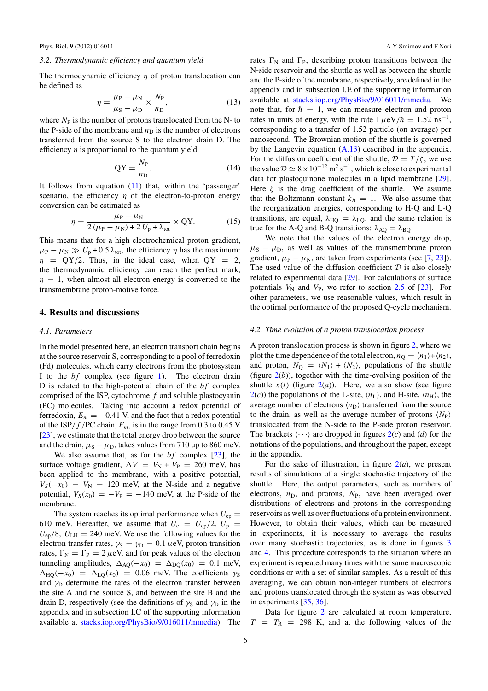#### <span id="page-5-0"></span>*3.2. Thermodynamic efficiency and quantum yield*

The thermodynamic efficiency *η* of proton translocation can be defined as

$$
\eta = \frac{\mu_{\rm P} - \mu_{\rm N}}{\mu_{\rm S} - \mu_{\rm D}} \times \frac{N_{\rm P}}{n_{\rm D}},\tag{13}
$$

where  $N_P$  is the number of protons translocated from the N- to the P-side of the membrane and  $n<sub>D</sub>$  is the number of electrons transferred from the source S to the electron drain D. The efficiency *η* is proportional to the quantum yield

$$
QY = \frac{N_P}{n_D}.\tag{14}
$$

It follows from equation  $(11)$  that, within the 'passenger' scenario, the efficiency *η* of the electron-to-proton energy conversion can be estimated as

$$
\eta = \frac{\mu_{\rm P} - \mu_{\rm N}}{2\left(\mu_{\rm P} - \mu_{\rm N}\right) + 2\,U_{\rm P} + \lambda_{\rm tot}} \times \text{QY}.\tag{15}
$$

This means that for a high electrochemical proton gradient,  $\mu_{\rm P} - \mu_{\rm N} \gg U_{\rm p} + 0.5 \lambda_{\rm tot}$ , the efficiency *η* has the maximum:  $\eta$  = QY/2. Thus, in the ideal case, when QY = 2, the thermodynamic efficiency can reach the perfect mark,  $\eta = 1$ , when almost all electron energy is converted to the transmembrane proton-motive force.

#### **4. Results and discussions**

#### *4.1. Parameters*

In the model presented here, an electron transport chain begins at the source reservoir S, corresponding to a pool of ferredoxin (Fd) molecules, which carry electrons from the photosystem I to the *bf* complex (see figure [1\)](#page-1-0). The electron drain D is related to the high-potential chain of the *bf* complex comprised of the ISP, cytochrome *f* and soluble plastocyanin (PC) molecules. Taking into account a redox potential of ferredoxin,  $E_m = -0.41$  V, and the fact that a redox potential of the ISP/ $f$ /PC chain,  $E_m$ , is in the range from 0.3 to 0.45 V [\[23](#page-11-0)], we estimate that the total energy drop between the source and the drain,  $\mu$ <sub>S</sub> −  $\mu$ <sub>D</sub>, takes values from 710 up to 860 meV.

We also assume that, as for the *bf* complex [\[23\]](#page-11-0), the surface voltage gradient,  $\Delta V = V_N + V_P = 260$  meV, has been applied to the membrane, with a positive potential,  $V_S(-x_0) = V_N = 120$  meV, at the N-side and a negative potential,  $V_S(x_0) = -V_P = -140$  meV, at the P-side of the membrane.

The system reaches its optimal performance when  $U_{ep} =$ 610 meV. Hereafter, we assume that  $U_e = U_{ep}/2$ ,  $U_p =$  $U_{\rm ep}/8$ ,  $U_{\rm LH} = 240$  meV. We use the following values for the electron transfer rates,  $\gamma_S = \gamma_D = 0.1 \,\mu\text{eV}$ , proton transition rates,  $\Gamma_{\rm N} = \Gamma_{\rm P} = 2 \,\mu{\rm eV}$ , and for peak values of the electron tunneling amplitudes,  $\Delta_{AO}(-x_0) = \Delta_{DO}(x_0) = 0.1$  meV,  $\Delta_{\text{HO}}(-x_0) = \Delta_{\text{LO}}(x_0) = 0.06$  meV. The coefficients  $\gamma$ s and  $\gamma_D$  determine the rates of the electron transfer between the site A and the source S, and between the site B and the drain D, respectively (see the definitions of  $\gamma_s$  and  $\gamma_D$  in the appendix and in subsection I.C of the supporting information available at [stacks.iop.org/PhysBio/9/016011/mmedia\)](http://stacks.iop.org/PhysBio/9/016011/mmedia). The rates  $\Gamma_{\rm N}$  and  $\Gamma_{\rm P}$ , describing proton transitions between the N-side reservoir and the shuttle as well as between the shuttle and the P-side of the membrane, respectively, are defined in the appendix and in subsection I.E of the supporting information available at [stacks.iop.org/PhysBio/9/016011/mmedia.](http://stacks.iop.org/PhysBio/9/016011/mmedia) We note that, for  $\hbar = 1$ , we can measure electron and proton rates in units of energy, with the rate  $1 \mu eV/\hbar = 1.52 \text{ ns}^{-1}$ , corresponding to a transfer of 1.52 particle (on average) per nanosecond. The Brownian motion of the shuttle is governed by the Langevin equation  $(A.13)$  described in the appendix. For the diffusion coefficient of the shuttle,  $\mathcal{D} = T/\zeta$ , we use the value  $\mathcal{D} \simeq 8 \times 10^{-12}$  m<sup>2</sup> s<sup>-1</sup>, which is close to experimental data for plastoquinone molecules in a lipid membrane [\[29](#page-11-0)]. Here  $\zeta$  is the drag coefficient of the shuttle. We assume that the Boltzmann constant  $k_B = 1$ . We also assume that the reorganization energies, corresponding to H-Q and L-Q transitions, are equal,  $\lambda_{\text{HO}} = \lambda_{\text{LO}}$ , and the same relation is true for the A-Q and B-Q transitions:  $\lambda_{AO} = \lambda_{BO}$ .

We note that the values of the electron energy drop,  $\mu$ <sub>S</sub> −  $\mu$ <sub>D</sub>, as well as values of the transmembrane proton gradient,  $\mu_{\rm P} - \mu_{\rm N}$ , are taken from experiments (see [\[7,](#page-11-0) [23](#page-11-0)]). The used value of the diffusion coefficient  $D$  is also closely related to experimental data [\[29](#page-11-0)]. For calculations of surface potentials  $V_N$  and  $V_P$ , we refer to section [2.5](#page-3-0) of [\[23\]](#page-11-0). For other parameters, we use reasonable values, which result in the optimal performance of the proposed Q-cycle mechanism.

#### *4.2. Time evolution of a proton translocation process*

A proton translocation process is shown in figure [2,](#page-6-0) where we plot the time dependence of the total electron,  $n_{\Omega} = \langle n_1 \rangle + \langle n_2 \rangle$ , and proton,  $N_{\Omega} = \langle N_1 \rangle + \langle N_2 \rangle$ , populations of the shuttle (figure  $2(b)$  $2(b)$ ), together with the time-evolving position of the shuttle  $x(t)$  (figure  $2(a)$  $2(a)$ ). Here, we also show (see figure  $2(c)$  $2(c)$ ) the populations of the L-site,  $\langle n_{\rm L} \rangle$ , and H-site,  $\langle n_{\rm H} \rangle$ , the average number of electrons  $\langle n_{\rm D} \rangle$  transferred from the source to the drain, as well as the average number of protons  $\langle N_P \rangle$ translocated from the N-side to the P-side proton reservoir. The brackets  $\langle \cdots \rangle$  are dropped in figures  $2(c)$  $2(c)$  and (*d*) for the notations of the populations, and throughout the paper, except in the appendix.

For the sake of illustration, in figure  $2(a)$  $2(a)$ , we present results of simulations of a single stochastic trajectory of the shuttle. Here, the output parameters, such as numbers of electrons,  $n_D$ , and protons,  $N_P$ , have been averaged over distributions of electrons and protons in the corresponding reservoirs as well as over fluctuations of a protein environment. However, to obtain their values, which can be measured in experiments, it is necessary to average the results over many stochastic trajectories, as is done in figures [3](#page-7-0) and [4.](#page-8-0) This procedure corresponds to the situation where an experiment is repeated many times with the same macroscopic conditions or with a set of similar samples. As a result of this averaging, we can obtain non-integer numbers of electrons and protons translocated through the system as was observed in experiments [\[35,](#page-11-0) [36\]](#page-11-0).

Data for figure [2](#page-6-0) are calculated at room temperature,  $T = T_R = 298$  K, and at the following values of the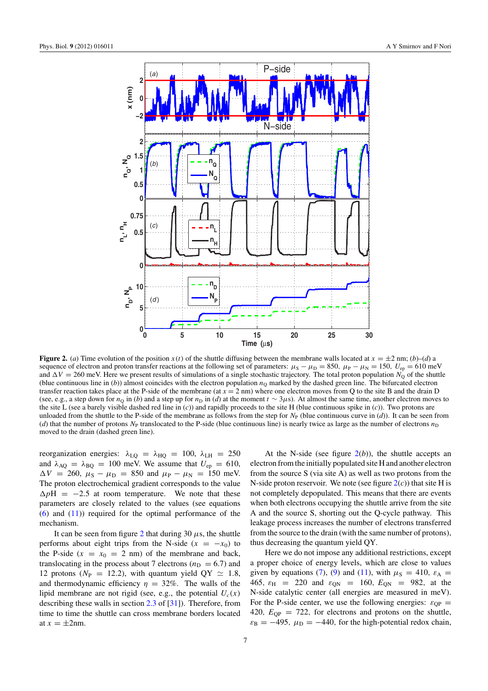<span id="page-6-0"></span>

**Figure 2.** (*a*) Time evolution of the position *x*(*t*) of the shuttle diffusing between the membrane walls located at  $x = \pm 2$  nm; (*b*)–(*d*) a sequence of electron and proton transfer reactions at the following set of parameters:  $\mu_S - \mu_D = 850$ ,  $\mu_P - \mu_N = 150$ ,  $U_{ep} = 610$  meV and  $\Delta V = 260$  meV. Here we present results of simulations of a single stochastic trajectory. The total proton population  $N_{\Omega}$  of the shuttle (blue continuous line in  $(b)$ ) almost coincides with the electron population  $n<sub>Q</sub>$  marked by the dashed green line. The bifurcated electron transfer reaction takes place at the P-side of the membrane (at  $x = 2$  nm) where one electron moves from Q to the site B and the drain D (see, e.g., a step down for  $n_Q$  in (*b*) and a step up for  $n_D$  in (*d*) at the moment  $t \sim 3\mu s$ ). At almost the same time, another electron moves to the site L (see a barely visible dashed red line in (*c*)) and rapidly proceeds to the site H (blue continuous spike in (*c*)). Two protons are unloaded from the shuttle to the P-side of the membrane as follows from the step for  $N_P$  (blue continuous curve in  $(d)$ ). It can be seen from (*d*) that the number of protons  $N<sub>P</sub>$  translocated to the P-side (blue continuous line) is nearly twice as large as the number of electrons  $n<sub>D</sub>$ moved to the drain (dashed green line).

reorganization energies:  $λ$ <sub>LQ</sub> =  $λ$ <sub>HQ</sub> = 100,  $λ$ <sub>LH</sub> = 250 and  $\lambda_{\text{AQ}} = \lambda_{\text{BQ}} = 100 \text{ meV}$ . We assume that  $U_{\text{ep}} = 610$ ,  $\Delta V = 260$ ,  $\mu_S - \mu_D = 850$  and  $\mu_P - \mu_N = 150$  meV. The proton electrochemical gradient corresponds to the value  $\Delta pH = -2.5$  at room temperature. We note that these parameters are closely related to the values (see equations [\(6\)](#page-4-0) and [\(11\)](#page-4-0)) required for the optimal performance of the mechanism.

It can be seen from figure 2 that during 30  $\mu$ s, the shuttle performs about eight trips from the N-side  $(x = -x_0)$  to the P-side  $(x = x_0 = 2$  nm) of the membrane and back, translocating in the process about 7 electrons ( $n_D = 6.7$ ) and 12 protons ( $N_P = 12.2$ ), with quantum yield QY  $\simeq 1.8$ , and thermodynamic efficiency  $\eta = 32\%$ . The walls of the lipid membrane are not rigid (see, e.g., the potential  $U_c(x)$ ) describing these walls in section [2.3](#page-2-0) of [\[31](#page-11-0)]). Therefore, from time to time the shuttle can cross membrane borders located at  $x = \pm 2$ nm.

At the N-side (see figure  $2(b)$ ), the shuttle accepts an electron from the initially populated site H and another electron from the source S (via site A) as well as two protons from the N-side proton reservoir. We note (see figure  $2(c)$ ) that site H is not completely depopulated. This means that there are events when both electrons occupying the shuttle arrive from the site A and the source S, shorting out the Q-cycle pathway. This leakage process increases the number of electrons transferred from the source to the drain (with the same number of protons), thus decreasing the quantum yield QY.

Here we do not impose any additional restrictions, except a proper choice of energy levels, which are close to values given by equations [\(7\)](#page-4-0), [\(9\)](#page-4-0) and [\(11\)](#page-4-0), with  $\mu$ <sub>S</sub> = 410,  $\varepsilon$ <sub>A</sub> = 465,  $\varepsilon_{\text{H}}$  = 220 and  $\varepsilon_{\text{ON}}$  = 160,  $E_{\text{ON}}$  = 982, at the N-side catalytic center (all energies are measured in meV). For the P-side center, we use the following energies:  $\varepsilon_{\text{OP}} =$ 420,  $E_{OP} = 722$ , for electrons and protons on the shuttle,  $\varepsilon_{\rm B} = -495$ ,  $\mu_{\rm D} = -440$ , for the high-potential redox chain,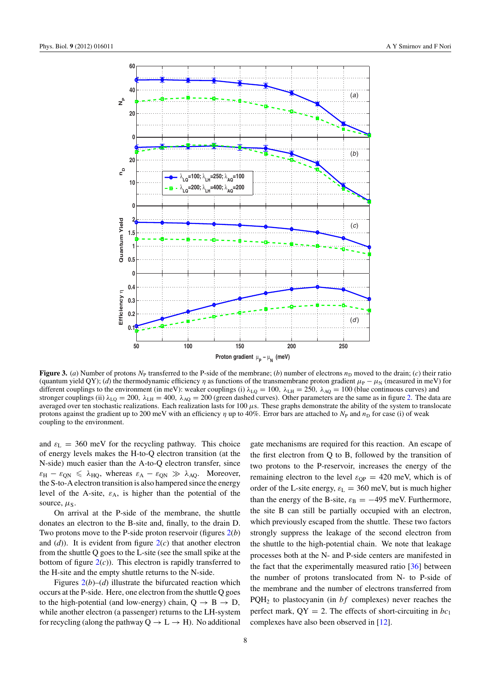<span id="page-7-0"></span>

**Figure 3.** (*a*) Number of protons  $N_P$  transferred to the P-side of the membrane; (*b*) number of electrons  $n_D$  moved to the drain; (*c*) their ratio (quantum yield QY); (*d*) the thermodynamic efficiency  $\eta$  as functions of the transmembrane proton gradient  $\mu_P - \mu_N$  (measured in meV) for different couplings to the environment (in meV): weaker couplings (i)  $\lambda_{LQ} = 100$ ,  $\lambda_{LH} = 250$ ,  $\lambda_{AQ} = 100$  (blue continuous curves) and stronger couplings (ii)  $\lambda_{\text{LO}} = 200$ ,  $\lambda_{\text{LH}} = 400$ ,  $\lambda_{\text{AO}} = 200$  (green dashed curves). Other parameters are the same as in figure [2.](#page-6-0) The data are averaged over ten stochastic realizations. Each realization lasts for 100 *μ*s. These graphs demonstrate the ability of the system to translocate protons against the gradient up to 200 meV with an efficiency *η* up to 40%. Error bars are attached to *N*<sub>P</sub> and *n*<sub>D</sub> for case (i) of weak coupling to the environment.

and  $\varepsilon_L$  = 360 meV for the recycling pathway. This choice of energy levels makes the H-to-Q electron transition (at the N-side) much easier than the A-to-Q electron transfer, since  $\varepsilon_{\rm H} - \varepsilon_{\rm QN} \le \lambda_{\rm HQ}$ , whereas  $\varepsilon_{\rm A} - \varepsilon_{\rm QN} \gg \lambda_{\rm AQ}$ . Moreover, the S-to-A electron transition is also hampered since the energy level of the A-site,  $\varepsilon_A$ , is higher than the potential of the source,  $\mu$ <sub>S</sub>.

On arrival at the P-side of the membrane, the shuttle donates an electron to the B-site and, finally, to the drain D. Two protons move to the P-side proton reservoir (figures [2\(](#page-6-0)*b*) and  $(d)$ ). It is evident from figure  $2(c)$  $2(c)$  that another electron from the shuttle Q goes to the L-site (see the small spike at the bottom of figure  $2(c)$  $2(c)$ ). This electron is rapidly transferred to the H-site and the empty shuttle returns to the N-side.

Figures  $2(b)$  $2(b)$ –(*d*) illustrate the bifurcated reaction which occurs at the P-side. Here, one electron from the shuttle Q goes to the high-potential (and low-energy) chain,  $Q \rightarrow B \rightarrow D$ , while another electron (a passenger) returns to the LH-system for recycling (along the pathway  $Q \rightarrow L \rightarrow H$ ). No additional gate mechanisms are required for this reaction. An escape of the first electron from Q to B, followed by the transition of two protons to the P-reservoir, increases the energy of the remaining electron to the level  $\varepsilon_{\text{OP}} = 420$  meV, which is of order of the L-site energy,  $\varepsilon_{\rm L} = 360$  meV, but is much higher than the energy of the B-site,  $\varepsilon_B = -495$  meV. Furthermore, the site B can still be partially occupied with an electron, which previously escaped from the shuttle. These two factors strongly suppress the leakage of the second electron from the shuttle to the high-potential chain. We note that leakage processes both at the N- and P-side centers are manifested in the fact that the experimentally measured ratio [\[36\]](#page-11-0) between the number of protons translocated from N- to P-side of the membrane and the number of electrons transferred from PQH2 to plastocyanin (in *bf* complexes) never reaches the perfect mark,  $QY = 2$ . The effects of short-circuiting in  $bc_1$ complexes have also been observed in [\[12\]](#page-11-0).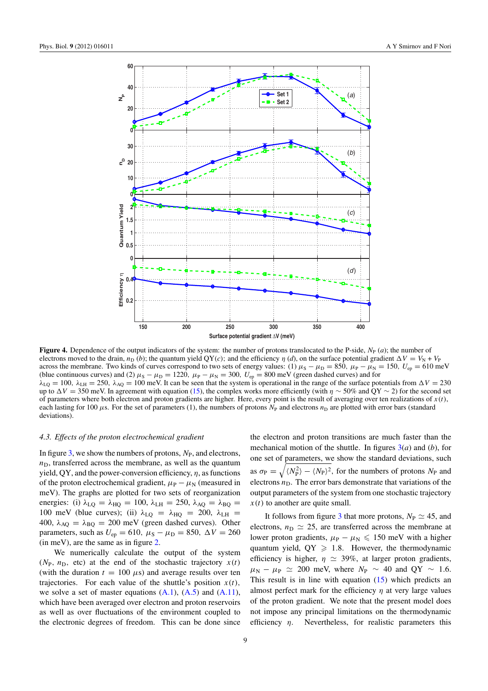<span id="page-8-0"></span>

**Figure 4.** Dependence of the output indicators of the system: the number of protons translocated to the P-side,  $N_P(a)$ ; the number of electrons moved to the drain,  $n_D$  (*b*); the quantum yield QY(*c*); and the efficiency *η* (*d*), on the surface potential gradient  $\Delta V = V_N + V_P$ across the membrane. Two kinds of curves correspond to two sets of energy values: (1)  $\mu_s - \mu_D = 850$ ,  $\mu_P - \mu_N = 150$ ,  $U_{ep} = 610$  meV (blue continuous curves) and (2)  $\mu_S - \mu_D = 1220$ ,  $\mu_P - \mu_N = 300$ ,  $U_{ep} = 800$  meV (green dashed curves) and for  $\lambda_{LQ} = 100$ ,  $\lambda_{LH} = 250$ ,  $\lambda_{AQ} = 100$  meV. It can be seen that the system is operational in the range of the surface potentials from  $\Delta V = 230$ up to  $\Delta V = 350$  meV. In agreement with equation [\(15\)](#page-5-0), the complex works more efficiently (with  $\eta \sim 50\%$  and QY ~ 2) for the second set of parameters where both electron and proton gradients are higher. Here, every point is the result of averaging over ten realizations of  $x(t)$ , each lasting for 100  $\mu$ s. For the set of parameters (1), the numbers of protons  $N_P$  and electrons  $n_D$  are plotted with error bars (standard deviations).

#### *4.3. Effects of the proton electrochemical gradient*

In figure [3,](#page-7-0) we show the numbers of protons,  $N_{\rm P}$ , and electrons,  $n_D$ , transferred across the membrane, as well as the quantum yield, QY, and the power-conversion efficiency, *η*, as functions of the proton electrochemical gradient,  $\mu_{\rm P} - \mu_{\rm N}$  (measured in meV). The graphs are plotted for two sets of reorganization energies: (i)  $\lambda_{\text{LQ}} = \lambda_{\text{HQ}} = 100$ ,  $\lambda_{\text{LH}} = 250$ ,  $\lambda_{\text{AQ}} = \lambda_{\text{BQ}} =$ 100 meV (blue curves); (ii)  $\lambda_{LO} = \lambda_{HO} = 200$ ,  $\lambda_{LH} =$ 400,  $\lambda_{\text{AQ}} = \lambda_{\text{BQ}} = 200 \text{ meV}$  (green dashed curves). Other parameters, such as  $U_{ep} = 610$ ,  $\mu_S - \mu_D = 850$ ,  $\Delta V = 260$ (in meV), are the same as in figure [2.](#page-6-0)

We numerically calculate the output of the system  $(N_P, n_D, \text{ etc})$  at the end of the stochastic trajectory  $x(t)$ (with the duration  $t = 100 \mu s$ ) and average results over ten trajectories. For each value of the shuttle's position  $x(t)$ , we solve a set of master equations  $(A.1)$ ,  $(A.5)$  and  $(A.11)$ , which have been averaged over electron and proton reservoirs as well as over fluctuations of the environment coupled to the electronic degrees of freedom. This can be done since the electron and proton transitions are much faster than the mechanical motion of the shuttle. In figures [3\(](#page-7-0)*a*) and (*b*), for one set of parameters, we show the standard deviations, such as  $\sigma_{\rm P} = \sqrt{\langle N_{\rm P}^2 \rangle - \langle N_{\rm P} \rangle^2}$ , for the numbers of protons  $N_{\rm P}$  and electrons  $n<sub>D</sub>$ . The error bars demonstrate that variations of the output parameters of the system from one stochastic trajectory  $x(t)$  to another are quite small.

It follows from figure [3](#page-7-0) that more protons,  $N_P \simeq 45$ , and electrons,  $n_D \simeq 25$ , are transferred across the membrane at lower proton gradients,  $\mu_{\rm P} - \mu_{\rm N} \leq 150$  meV with a higher quantum yield,  $QY \geq 1.8$ . However, the thermodynamic efficiency is higher,  $\eta \simeq 39\%$ , at larger proton gradients,  $\mu_{\rm N}$  −  $\mu_{\rm P}$   $\simeq$  200 meV, where  $N_{\rm P}$  ~ 40 and QY ~ 1.6. This result is in line with equation [\(15\)](#page-5-0) which predicts an almost perfect mark for the efficiency *η* at very large values of the proton gradient. We note that the present model does not impose any principal limitations on the thermodynamic efficiency *η*. Nevertheless, for realistic parameters this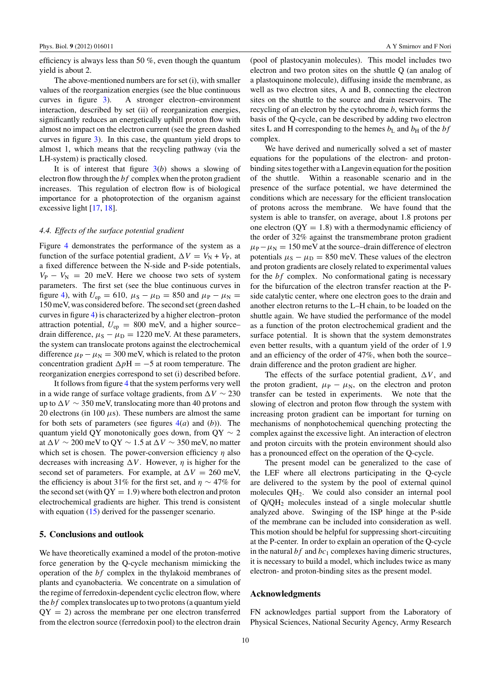efficiency is always less than 50 %, even though the quantum yield is about 2.

The above-mentioned numbers are for set (i), with smaller values of the reorganization energies (see the blue continuous curves in figure [3\)](#page-7-0). A stronger electron–environment interaction, described by set (ii) of reorganization energies, significantly reduces an energetically uphill proton flow with almost no impact on the electron current (see the green dashed curves in figure [3\)](#page-7-0). In this case, the quantum yield drops to almost 1, which means that the recycling pathway (via the LH-system) is practically closed.

It is of interest that figure  $3(b)$  $3(b)$  shows a slowing of electron flow through the *bf* complex when the proton gradient increases. This regulation of electron flow is of biological importance for a photoprotection of the organism against excessive light [\[17](#page-11-0), [18](#page-11-0)].

## *4.4. Effects of the surface potential gradient*

Figure [4](#page-8-0) demonstrates the performance of the system as a function of the surface potential gradient,  $\Delta V = V_N + V_P$ , at a fixed difference between the N-side and P-side potentials,  $V_P - V_N = 20$  meV. Here we choose two sets of system parameters. The first set (see the blue continuous curves in figure [4\)](#page-8-0), with  $U_{ep} = 610$ ,  $\mu_S - \mu_D = 850$  and  $\mu_P - \mu_N =$ 150 meV, was considered before. The second set (green dashed curves in figure [4\)](#page-8-0) is characterized by a higher electron–proton attraction potential,  $U_{ep} = 800$  meV, and a higher source– drain difference,  $\mu_S - \mu_D = 1220$  meV. At these parameters, the system can translocate protons against the electrochemical difference  $\mu_{\rm P} - \mu_{\rm N} = 300$  meV, which is related to the proton concentration gradient  $\Delta pH = -5$  at room temperature. The reorganization energies correspond to set (i) described before.

It follows from figure [4](#page-8-0) that the system performs very well in a wide range of surface voltage gradients, from  $\Delta V \sim 230$ up to  $\Delta V \sim 350$  meV, translocating more than 40 protons and 20 electrons (in 100  $\mu$ s). These numbers are almost the same for both sets of parameters (see figures [4\(](#page-8-0)*a*) and (*b*)). The quantum yield QY monotonically goes down, from  $\mathbf{Q} \mathbf{Y} \sim 2$ at  $\Delta V \sim 200$  meV to QY  $\sim 1.5$  at  $\Delta V \sim 350$  meV, no matter which set is chosen. The power-conversion efficiency *η* also decreases with increasing  $\Delta V$ . However,  $\eta$  is higher for the second set of parameters. For example, at  $\Delta V = 260$  meV, the efficiency is about 31% for the first set, and  $\eta \sim 47\%$  for the second set (with  $\dot{Q}Y = 1.9$ ) where both electron and proton electrochemical gradients are higher. This trend is consistent with equation [\(15\)](#page-5-0) derived for the passenger scenario.

## **5. Conclusions and outlook**

We have theoretically examined a model of the proton-motive force generation by the Q-cycle mechanism mimicking the operation of the *bf* complex in the thylakoid membranes of plants and cyanobacteria. We concentrate on a simulation of the regime of ferredoxin-dependent cyclic electron flow, where the *bf* complex translocates up to two protons (a quantum yield  $QY = 2$ ) across the membrane per one electron transferred from the electron source (ferredoxin pool) to the electron drain

(pool of plastocyanin molecules). This model includes two electron and two proton sites on the shuttle Q (an analog of a plastoquinone molecule), diffusing inside the membrane, as well as two electron sites, A and B, connecting the electron sites on the shuttle to the source and drain reservoirs. The recycling of an electron by the cytochrome *b*, which forms the basis of the Q-cycle, can be described by adding two electron sites L and H corresponding to the hemes  $b_L$  and  $b_H$  of the *bf* complex.

We have derived and numerically solved a set of master equations for the populations of the electron- and protonbinding sites together with a Langevin equation for the position of the shuttle. Within a reasonable scenario and in the presence of the surface potential, we have determined the conditions which are necessary for the efficient translocation of protons across the membrane. We have found that the system is able to transfer, on average, about 1.8 protons per one electron  $(QY = 1.8)$  with a thermodynamic efficiency of the order of 32% against the transmembrane proton gradient  $\mu_{\rm P} - \mu_{\rm N} = 150$  meV at the source–drain difference of electron potentials  $\mu_S - \mu_D = 850$  meV. These values of the electron and proton gradients are closely related to experimental values for the *bf* complex. No conformational gating is necessary for the bifurcation of the electron transfer reaction at the Pside catalytic center, where one electron goes to the drain and another electron returns to the L–H chain, to be loaded on the shuttle again. We have studied the performance of the model as a function of the proton electrochemical gradient and the surface potential. It is shown that the system demonstrates even better results, with a quantum yield of the order of 1.9 and an efficiency of the order of 47%, when both the source– drain difference and the proton gradient are higher.

The effects of the surface potential gradient,  $\Delta V$ , and the proton gradient,  $\mu_{\rm P} - \mu_{\rm N}$ , on the electron and proton transfer can be tested in experiments. We note that the slowing of electron and proton flow through the system with increasing proton gradient can be important for turning on mechanisms of nonphotochemical quenching protecting the complex against the excessive light. An interaction of electron and proton circuits with the protein environment should also has a pronounced effect on the operation of the Q-cycle.

The present model can be generalized to the case of the LEF where all electrons participating in the Q-cycle are delivered to the system by the pool of external quinol molecules QH2. We could also consider an internal pool of Q/QH2 molecules instead of a single molecular shuttle analyzed above. Swinging of the ISP hinge at the P-side of the membrane can be included into consideration as well. This motion should be helpful for suppressing short-circuiting at the P-center. In order to explain an operation of the Q-cycle in the natural  $bf$  and  $bc<sub>1</sub>$  complexes having dimeric structures, it is necessary to build a model, which includes twice as many electron- and proton-binding sites as the present model.

#### **Acknowledgments**

FN acknowledges partial support from the Laboratory of Physical Sciences, National Security Agency, Army Research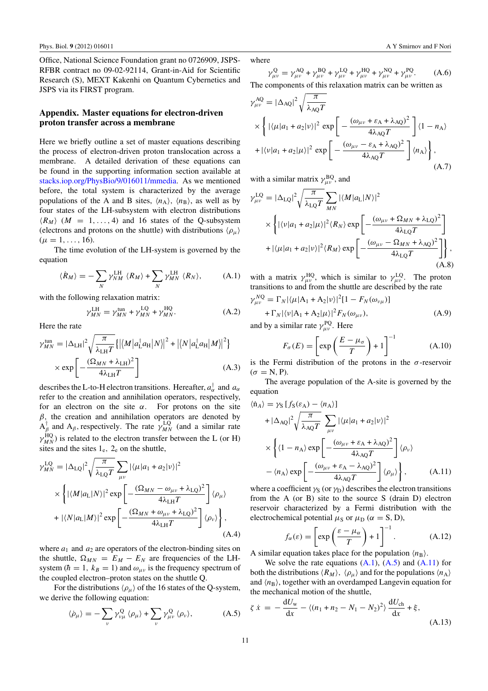<span id="page-10-0"></span>Office, National Science Foundation grant no 0726909, JSPS-RFBR contract no 09-02-92114, Grant-in-Aid for Scientific Research (S), MEXT Kakenhi on Quantum Cybernetics and JSPS via its FIRST program.

# **Appendix. Master equations for electron-driven proton transfer across a membrane**

Here we briefly outline a set of master equations describing the process of electron-driven proton translocation across a membrane. A detailed derivation of these equations can be found in the supporting information section available at [stacks.iop.org/PhysBio/9/016011/mmedia.](http://stacks.iop.org/PhysBio/9/016011/mmedia) As we mentioned before, the total system is characterized by the average populations of the A and B sites,  $\langle n_A \rangle$ ,  $\langle n_B \rangle$ , as well as by four states of the LH-subsystem with electron distributions  $\langle R_M \rangle$  (*M* = 1, ..., 4) and 16 states of the Q-subsystem (electrons and protons on the shuttle) with distributions *(ρ<sub>μ</sub>*)  $(\mu = 1, \ldots, 16).$ 

The time evolution of the LH-system is governed by the equation

$$
\langle \dot{R}_M \rangle = -\sum_N \gamma_{NM}^{\text{LH}} \langle R_M \rangle + \sum_N \gamma_{MN}^{\text{LH}} \langle R_N \rangle, \tag{A.1}
$$

with the following relaxation matrix:

$$
\gamma_{MN}^{\text{LH}} = \gamma_{MN}^{\text{tun}} + \gamma_{MN}^{\text{LQ}} + \gamma_{MN}^{\text{HQ}}.\tag{A.2}
$$

Here the rate

$$
\gamma_{MN}^{\text{tun}} = |\Delta_{\text{LH}}|^2 \sqrt{\frac{\pi}{\lambda_{\text{LH}} T}} \{ |\langle M | a_{\text{L}}^\dagger a_{\text{H}} | N \rangle|^2 + |\langle N | a_{\text{L}}^\dagger a_{\text{H}} | M \rangle|^2 \}
$$

$$
\times \exp \left[ -\frac{(\Omega_{MN} + \lambda_{\text{LH}})^2}{4 \lambda_{\text{LH}} T} \right]
$$
(A.3)

describes the L-to-H electron transitions. Hereafter,  $a^{\dagger}_{\alpha}$  and  $a_{\alpha}$ refer to the creation and annihilation operators, respectively, for an electron on the site  $\alpha$ . For protons on the site *β,* the creation and annihilation operators are denoted by  $A_{\beta}^{\dagger}$  and  $A_{\beta}$ , respectively. The rate  $\gamma_{MN}^{LQ}$  (and a similar rate  $\gamma_{MN}^{\text{HQ}}$ ) is related to the electron transfer between the L (or H) sites and the sites  $1<sub>e</sub>$ ,  $2<sub>e</sub>$  on the shuttle,

$$
\gamma_{MN}^{\text{LQ}} = |\Delta_{\text{LQ}}|^2 \sqrt{\frac{\pi}{\lambda_{\text{LQ}}T}} \sum_{\mu\nu} |\langle \mu | a_1 + a_2 | \nu \rangle|^2
$$
  
 
$$
\times \left\{ |\langle M | a_{\text{L}} | N \rangle|^2 \exp \left[ -\frac{(\Omega_{MN} - \omega_{\mu\nu} + \lambda_{\text{LQ}})^2}{4\lambda_{\text{LH}}T} \right] \langle \rho_{\mu} \rangle \right.
$$
  
+ 
$$
|\langle N | a_{\text{L}} | M \rangle|^2 \exp \left[ -\frac{(\Omega_{MN} + \omega_{\mu\nu} + \lambda_{\text{LQ}})^2}{4\lambda_{\text{LH}}T} \right] \langle \rho_{\nu} \rangle \right\}, \tag{A.4}
$$

where  $a_1$  and  $a_2$  are operators of the electron-binding sites on the shuttle,  $\Omega_{MN} = E_M - E_N$  are frequencies of the LHsystem ( $\hbar = 1$ ,  $k_B = 1$ ) and  $\omega_{\mu\nu}$  is the frequency spectrum of the coupled electron–proton states on the shuttle Q.

For the distributions  $\langle \rho_\mu \rangle$  of the 16 states of the Q-system, we derive the following equation:

$$
\langle \dot{\rho}_{\mu} \rangle = -\sum_{\nu} \gamma_{\nu\mu}^{\rm Q} \langle \rho_{\mu} \rangle + \sum_{\nu} \gamma_{\mu\nu}^{\rm Q} \langle \rho_{\nu} \rangle, \tag{A.5}
$$

where

$$
\gamma_{\mu\nu}^{\mathbf{Q}} = \gamma_{\mu\nu}^{\mathbf{AQ}} + \gamma_{\mu\nu}^{\mathbf{BQ}} + \gamma_{\mu\nu}^{\mathbf{LQ}} + \gamma_{\mu\nu}^{\mathbf{HQ}} + \gamma_{\mu\nu}^{\mathbf{NQ}} + \gamma_{\mu\nu}^{\mathbf{PQ}}.
$$
 (A.6)

The components of this relaxation matrix can be written as

$$
\gamma_{\mu\nu}^{\text{AQ}} = |\Delta_{\text{AQ}}|^2 \sqrt{\frac{\pi}{\lambda_{\text{AQ}}T}}
$$
  
 
$$
\times \left\{ |\langle \mu | a_1 + a_2 | \nu \rangle|^2 \exp \left[ - \frac{(\omega_{\mu\nu} + \varepsilon_{\text{A}} + \lambda_{\text{AQ}})^2}{4\lambda_{\text{AQ}}T} \right] \langle 1 - n_{\text{A}} \rangle \right\}
$$
  
+ 
$$
|\langle \nu | a_1 + a_2 | \mu \rangle|^2 \exp \left[ - \frac{(\omega_{\mu\nu} - \varepsilon_{\text{A}} + \lambda_{\text{AQ}})^2}{4\lambda_{\text{AQ}}T} \right] \langle n_{\text{A}} \rangle \right\}, \tag{A.7}
$$

with a similar matrix  $\gamma_{\mu\nu}^{BQ}$ , and

$$
\gamma_{\mu\nu}^{\text{LQ}} = |\Delta_{\text{LQ}}|^2 \sqrt{\frac{\pi}{\lambda_{\text{LQ}}T}} \sum_{MN} |\langle M|a_{\text{L}}|N\rangle|^2
$$
  
 
$$
\times \left\{ |\langle v|a_1 + a_2|\mu \rangle|^2 \langle R_N \rangle \exp\left[ -\frac{(\omega_{\mu\nu} + \Omega_{MN} + \lambda_{\text{LQ}})^2}{4\lambda_{\text{LQ}}T} \right] + |\langle \mu|a_1 + a_2|v \rangle|^2 \langle R_M \rangle \exp\left[ -\frac{(\omega_{\mu\nu} - \Omega_{MN} + \lambda_{\text{AQ}})^2}{4\lambda_{\text{LQ}}T} \right] \right\}, \tag{A.8}
$$

with a matrix  $\gamma_{\mu\nu}^{\text{HQ}}$ , which is similar to  $\gamma_{\mu\nu}^{\text{LQ}}$ . The proton transitions to and from the shuttle are described by the rate

$$
\gamma_{\mu\nu}^{NQ} = \Gamma_N |\langle \mu | A_1 + A_2 | \nu \rangle|^2 [1 - F_N(\omega_{\nu\mu})] + \Gamma_N |\langle \nu | A_1 + A_2 | \mu \rangle|^2 F_N(\omega_{\mu\nu}),
$$
(A.9)

and by a similar rate  $\gamma_{\mu\nu}^{PQ}$ . Here

$$
F_{\sigma}(E) = \left[ \exp\left(\frac{E - \mu_{\sigma}}{T}\right) + 1 \right]^{-1}
$$
 (A.10)

is the Fermi distribution of the protons in the  $\sigma$ -reservoir  $(\sigma = N, P)$ .

The average population of the A-site is governed by the equation

$$
\langle \dot{n}_A \rangle = \gamma_S [f_S(\varepsilon_A) - \langle n_A \rangle] \n+ |\Delta_{AQ}|^2 \sqrt{\frac{\pi}{\lambda_{AQ}T}} \sum_{\mu\nu} |\langle \mu | a_1 + a_2 | \nu \rangle|^2 \n\times \left\{ \langle 1 - n_A \rangle \exp \left[ -\frac{(\omega_{\mu\nu} + \varepsilon_A + \lambda_{AQ})^2}{4\lambda_{AQ}T} \right] \langle \rho_\nu \rangle \right. \n- \langle n_A \rangle \exp \left[ -\frac{(\omega_{\mu\nu} + \varepsilon_A - \lambda_{AQ})^2}{4\lambda_{AQ}T} \right] \langle \rho_\mu \rangle \right\}, \quad (A.11)
$$

where a coefficient  $\gamma_S$  (or  $\gamma_D$ ) describes the electron transitions from the A (or B) site to the source S (drain D) electron reservoir characterized by a Fermi distribution with the electrochemical potential  $\mu_S$  or  $\mu_D$  ( $\alpha = S$ , D),

$$
f_{\alpha}(\varepsilon) = \left[ \exp\left(\frac{\varepsilon - \mu_{\alpha}}{T}\right) + 1 \right]^{-1}.
$$
 (A.12)

A similar equation takes place for the population  $\langle n_{\rm B} \rangle$ .

We solve the rate equations  $(A.1)$ ,  $(A.5)$  and  $(A.11)$  for both the distributions  $\langle R_M \rangle$ ,  $\langle \rho_\mu \rangle$  and for the populations  $\langle n_A \rangle$ and  $\langle n_{\rm B} \rangle$ , together with an overdamped Langevin equation for the mechanical motion of the shuttle,

$$
\zeta \dot{x} = -\frac{dU_w}{dx} - \langle (n_1 + n_2 - N_1 - N_2)^2 \rangle \frac{dU_{\text{ch}}}{dx} + \xi,
$$
\n(A.13)